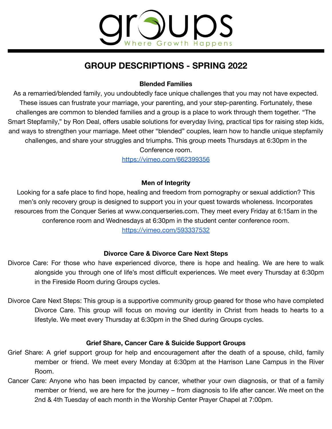# **OUDS** re Growth Happens

## **GROUP DESCRIPTIONS - SPRING 2022**

### **Blended Families**

As a remarried/blended family, you undoubtedly face unique challenges that you may not have expected. These issues can frustrate your marriage, your parenting, and your step-parenting. Fortunately, these challenges are common to blended families and a group is a place to work through them together. "The Smart Stepfamily," by Ron Deal, offers usable solutions for everyday living, practical tips for raising step kids, and ways to strengthen your marriage. Meet other "blended" couples, learn how to handle unique stepfamily challenges, and share your struggles and triumphs. This group meets Thursdays at 6:30pm in the Conference room.

<https://vimeo.com/662399356>

### **Men of Integrity**

Looking for a safe place to find hope, healing and freedom from pornography or sexual addiction? This men's only recovery group is designed to support you in your quest towards wholeness. Incorporates resources from the Conquer Series at [www.conquerseries.com](http://www.conquerseries.com). They meet every Friday at 6:15am in the conference room and Wednesdays at 6:30pm in the student center conference room.

<https://vimeo.com/593337532>

### **Divorce Care & Divorce Care Next Steps**

- Divorce Care: For those who have experienced divorce, there is hope and healing. We are here to walk alongside you through one of life's most difficult experiences. We meet every Thursday at 6:30pm in the Fireside Room during Groups cycles.
- Divorce Care Next Steps: This group is a supportive community group geared for those who have completed Divorce Care. This group will focus on moving our identity in Christ from heads to hearts to a lifestyle. We meet every Thursday at 6:30pm in the Shed during Groups cycles.

#### **Grief Share, Cancer Care & Suicide Support Groups**

- Grief Share: A grief support group for help and encouragement after the death of a spouse, child, family member or friend. We meet every Monday at 6:30pm at the Harrison Lane Campus in the River Room.
- Cancer Care: Anyone who has been impacted by cancer, whether your own diagnosis, or that of a family member or friend, we are here for the journey – from diagnosis to life after cancer. We meet on the 2nd & 4th Tuesday of each month in the Worship Center Prayer Chapel at 7:00pm.